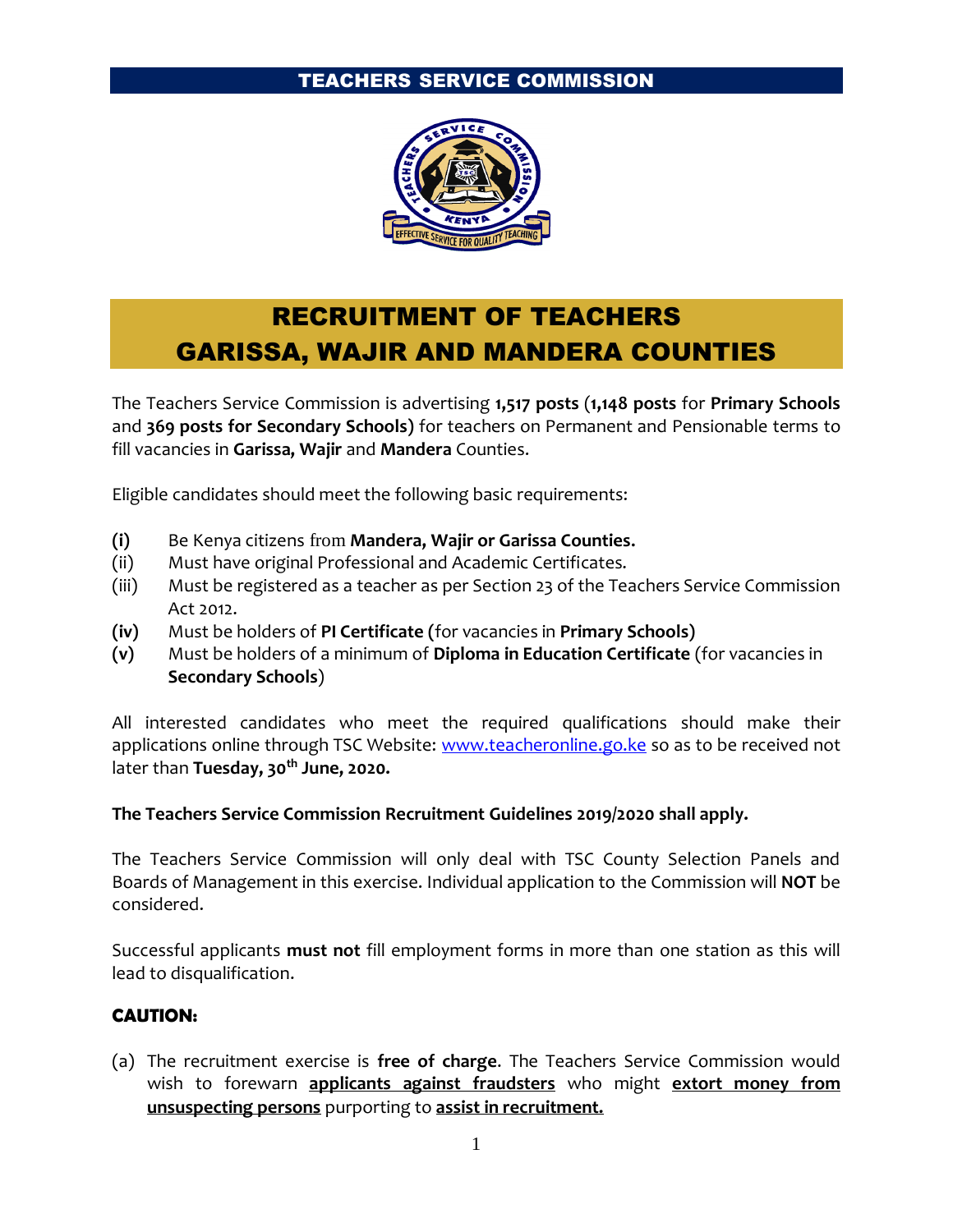# TEACHERS SERVICE COMMISSION



# RECRUITMENT OF TEACHERS GARISSA, WAJIR AND MANDERA COUNTIES

The Teachers Service Commission is advertising **1,517 posts** (**1,148 posts** for **Primary Schools** and **369 posts for Secondary Schools)** for teachers on Permanent and Pensionable terms to fill vacancies in **Garissa, Wajir** and **Mandera** Counties.

Eligible candidates should meet the following basic requirements:

- **(i)** Be Kenya citizens from **Mandera, Wajir or Garissa Counties.**
- (ii) Must have original Professional and Academic Certificates.
- (iii) Must be registered as a teacher as per Section 23 of the Teachers Service Commission Act 2012.
- **(iv)** Must be holders of **PI Certificate (**for vacancies in **Primary Schools)**
- **(v)** Must be holders of a minimum of **Diploma in Education Certificate** (for vacancies in **Secondary Schools**)

All interested candidates who meet the required qualifications should make their applications online through TSC Website: [www.teacheronline.go.ke](http://www.teacheronline.go.ke/) so as to be received not later than **Tuesday, 30th June, 2020.**

#### **The Teachers Service Commission Recruitment Guidelines 2019/2020 shall apply.**

The Teachers Service Commission will only deal with TSC County Selection Panels and Boards of Management in this exercise. Individual application to the Commission will **NOT** be considered.

Successful applicants **must not** fill employment forms in more than one station as this will lead to disqualification.

### **CAUTION:**

(a) The recruitment exercise is **free of charge**. The Teachers Service Commission would wish to forewarn **applicants against fraudsters** who might **extort money from unsuspecting persons** purporting to **assist in recruitment.**